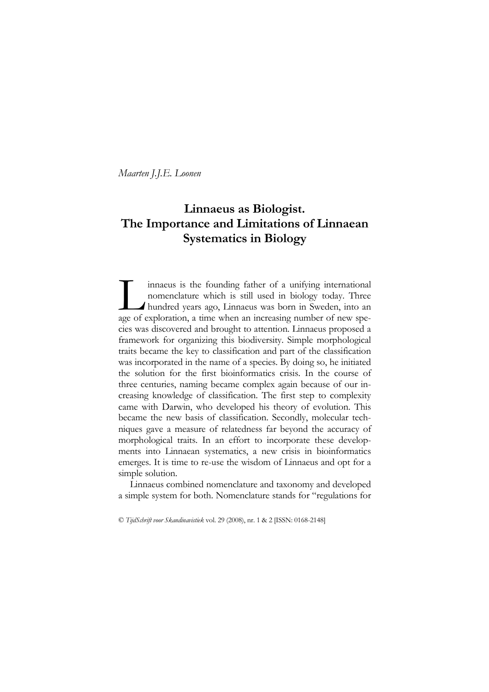# Linnaeus as Biologist. The Importance and Limitations of Linnaean Systematics in Biology

innaeus is the founding father of a unifying international nomenclature which is still used in biology today. Three hundred years ago, Linnaeus was born in Sweden, into an innaeus is the founding father of a unifying international nomenclature which is still used in biology today. Three hundred years ago, Linnaeus was born in Sweden, into an age of exploration, a time when an increasing numb cies was discovered and brought to attention. Linnaeus proposed a framework for organizing this biodiversity. Simple morphological traits became the key to classification and part of the classification was incorporated in the name of a species. By doing so, he initiated the solution for the first bioinformatics crisis. In the course of three centuries, naming became complex again because of our increasing knowledge of classification. The first step to complexity came with Darwin, who developed his theory of evolution. This became the new basis of classification. Secondly, molecular techniques gave a measure of relatedness far beyond the accuracy of morphological traits. In an effort to incorporate these developments into Linnaean systematics, a new crisis in bioinformatics emerges. It is time to re-use the wisdom of Linnaeus and opt for a simple solution.

Linnaeus combined nomenclature and taxonomy and developed a simple system for both. Nomenclature stands for "regulations for

© TijdSchrift voor Skandinavistiek vol. 29 (2008), nr. 1 & 2 [ISSN: 0168-2148]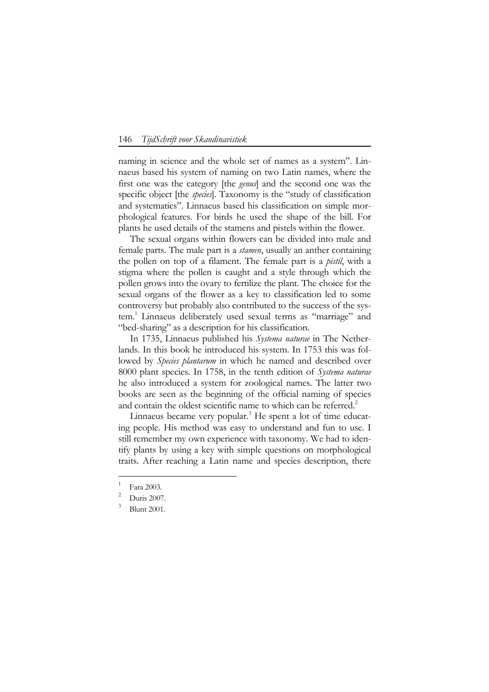naming in science and the whole set of names as a system". Linnaeus based his system of naming on two Latin names, where the first one was the category [the genus] and the second one was the specific object [the *species*]. Taxonomy is the "study of classification and systematics". Linnaeus based his classification on simple morphological features. For birds he used the shape of the bill. For plants he used details of the stamens and pistels within the flower.

The sexual organs within flowers can be divided into male and female parts. The male part is a *stamen*, usually an anther containing the pollen on top of a filament. The female part is a pistil, with a stigma where the pollen is caught and a style through which the pollen grows into the ovary to fertilize the plant. The choice for the sexual organs of the flower as a key to classification led to some controversy but probably also contributed to the success of the system.<sup>1</sup> Linnaeus deliberately used sexual terms as "marriage" and "bed-sharing" as a description for his classification.

In 1735, Linnaeus published his Systema naturae in The Netherlands. In this book he introduced his system. In 1753 this was followed by *Species plantarum* in which he named and described over 8000 plant species. In 1758, in the tenth edition of Systema naturae he also introduced a system for zoological names. The latter two books are seen as the beginning of the official naming of species and contain the oldest scientific name to which can be referred.<sup>2</sup>

Linnaeus became very popular.<sup>3</sup> He spent a lot of time educating people. His method was easy to understand and fun to use. I still remember my own experience with taxonomy. We had to identify plants by using a key with simple questions on morphological traits. After reaching a Latin name and species description, there

<sup>1</sup> Fara 2003.

<sup>2</sup> Duris 2007.

<sup>3</sup> Blunt 2001.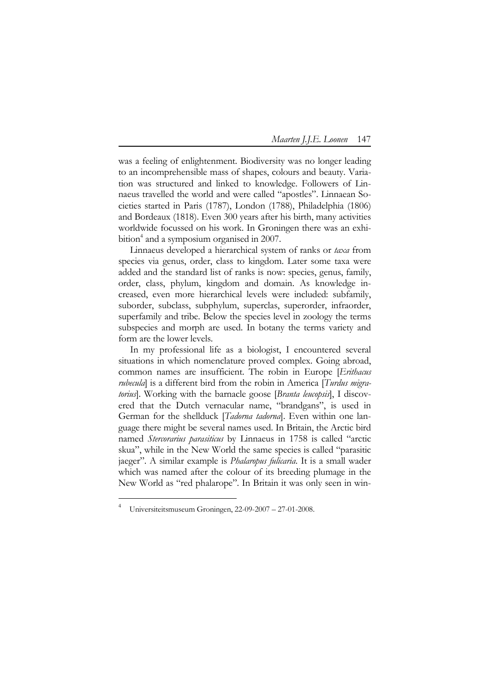was a feeling of enlightenment. Biodiversity was no longer leading to an incomprehensible mass of shapes, colours and beauty. Variation was structured and linked to knowledge. Followers of Linnaeus travelled the world and were called "apostles". Linnaean Societies started in Paris (1787), London (1788), Philadelphia (1806) and Bordeaux (1818). Even 300 years after his birth, many activities worldwide focussed on his work. In Groningen there was an exhibition<sup>4</sup> and a symposium organised in 2007.

Linnaeus developed a hierarchical system of ranks or taxa from species via genus, order, class to kingdom. Later some taxa were added and the standard list of ranks is now: species, genus, family, order, class, phylum, kingdom and domain. As knowledge increased, even more hierarchical levels were included: subfamily, suborder, subclass, subphylum, superclas, superorder, infraorder, superfamily and tribe. Below the species level in zoology the terms subspecies and morph are used. In botany the terms variety and form are the lower levels.

In my professional life as a biologist, I encountered several situations in which nomenclature proved complex. Going abroad, common names are insufficient. The robin in Europe [Erithacus rubecula] is a different bird from the robin in America [Turdus migratorius]. Working with the barnacle goose [Branta leucopsis], I discovered that the Dutch vernacular name, "brandgans", is used in German for the shellduck [*Tadorna tadorna*]. Even within one language there might be several names used. In Britain, the Arctic bird named Stercorarius parasiticus by Linnaeus in 1758 is called "arctic skua", while in the New World the same species is called "parasitic jaeger". A similar example is *Phalaropus fulicaria*. It is a small wader which was named after the colour of its breeding plumage in the New World as "red phalarope". In Britain it was only seen in win-

<sup>4</sup> Universiteitsmuseum Groningen, 22-09-2007 – 27-01-2008.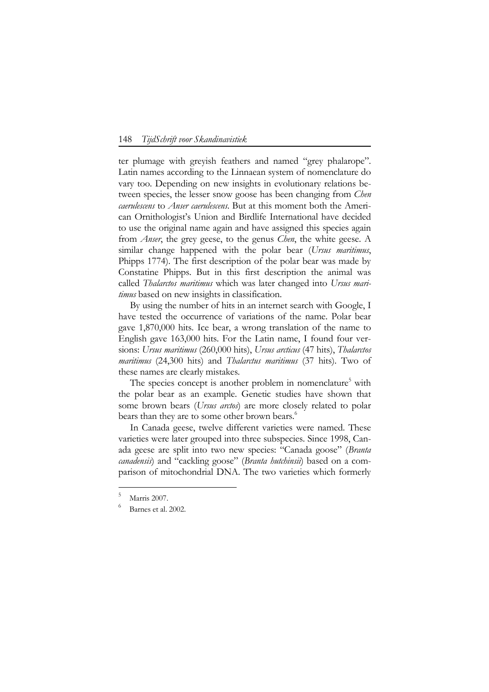ter plumage with greyish feathers and named "grey phalarope". Latin names according to the Linnaean system of nomenclature do vary too. Depending on new insights in evolutionary relations between species, the lesser snow goose has been changing from *Chen* caerulescens to Anser caerulescens. But at this moment both the American Ornithologist's Union and Birdlife International have decided to use the original name again and have assigned this species again from *Anser*, the grey geese, to the genus *Chen*, the white geese. A similar change happened with the polar bear (Ursus maritimus, Phipps 1774). The first description of the polar bear was made by Constatine Phipps. But in this first description the animal was called *Thalarctos maritimus* which was later changed into Ursus maritimus based on new insights in classification.

By using the number of hits in an internet search with Google, I have tested the occurrence of variations of the name. Polar bear gave 1,870,000 hits. Ice bear, a wrong translation of the name to English gave 163,000 hits. For the Latin name, I found four versions: Ursus maritimus (260,000 hits), Ursus arcticus (47 hits), Thalarctos maritimus (24,300 hits) and Thalarctus maritimus (37 hits). Two of these names are clearly mistakes.

The species concept is another problem in nomenclature<sup>5</sup> with the polar bear as an example. Genetic studies have shown that some brown bears (*Ursus arctos*) are more closely related to polar bears than they are to some other brown bears.<sup>6</sup>

In Canada geese, twelve different varieties were named. These varieties were later grouped into three subspecies. Since 1998, Canada geese are split into two new species: "Canada goose" (Branta *canadensis*) and "cackling goose" (*Branta hutchinsii*) based on a comparison of mitochondrial DNA. The two varieties which formerly

<sup>5</sup> Marris 2007.

<sup>6</sup> Barnes et al. 2002.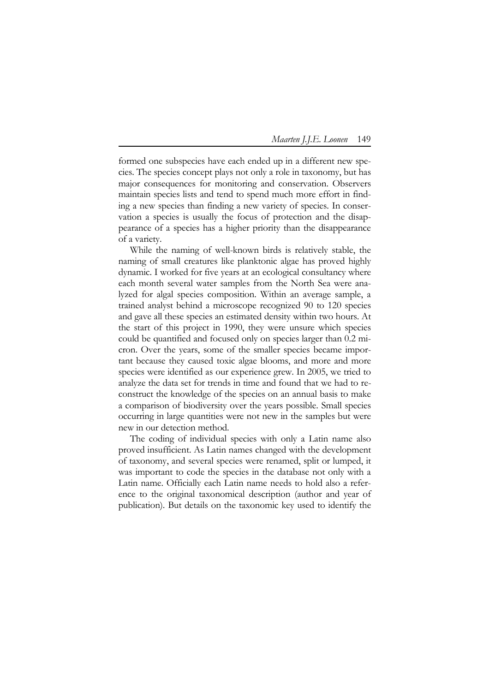formed one subspecies have each ended up in a different new species. The species concept plays not only a role in taxonomy, but has major consequences for monitoring and conservation. Observers maintain species lists and tend to spend much more effort in finding a new species than finding a new variety of species. In conservation a species is usually the focus of protection and the disappearance of a species has a higher priority than the disappearance of a variety.

While the naming of well-known birds is relatively stable, the naming of small creatures like planktonic algae has proved highly dynamic. I worked for five years at an ecological consultancy where each month several water samples from the North Sea were analyzed for algal species composition. Within an average sample, a trained analyst behind a microscope recognized 90 to 120 species and gave all these species an estimated density within two hours. At the start of this project in 1990, they were unsure which species could be quantified and focused only on species larger than 0.2 micron. Over the years, some of the smaller species became important because they caused toxic algae blooms, and more and more species were identified as our experience grew. In 2005, we tried to analyze the data set for trends in time and found that we had to reconstruct the knowledge of the species on an annual basis to make a comparison of biodiversity over the years possible. Small species occurring in large quantities were not new in the samples but were new in our detection method.

The coding of individual species with only a Latin name also proved insufficient. As Latin names changed with the development of taxonomy, and several species were renamed, split or lumped, it was important to code the species in the database not only with a Latin name. Officially each Latin name needs to hold also a reference to the original taxonomical description (author and year of publication). But details on the taxonomic key used to identify the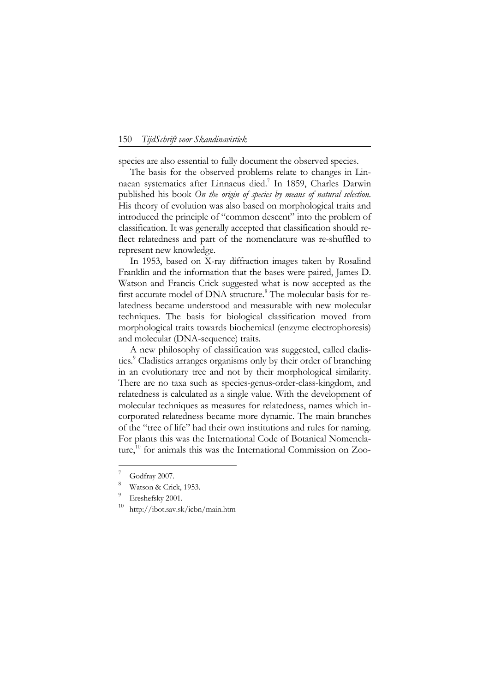species are also essential to fully document the observed species.

The basis for the observed problems relate to changes in Linnaean systematics after Linnaeus died.<sup>7</sup> In 1859, Charles Darwin published his book On the origin of species by means of natural selection. His theory of evolution was also based on morphological traits and introduced the principle of "common descent" into the problem of classification. It was generally accepted that classification should reflect relatedness and part of the nomenclature was re-shuffled to represent new knowledge.

In 1953, based on X-ray diffraction images taken by Rosalind Franklin and the information that the bases were paired, James D. Watson and Francis Crick suggested what is now accepted as the first accurate model of DNA structure.<sup>8</sup> The molecular basis for relatedness became understood and measurable with new molecular techniques. The basis for biological classification moved from morphological traits towards biochemical (enzyme electrophoresis) and molecular (DNA-sequence) traits.

A new philosophy of classification was suggested, called cladistics.<sup>9</sup> Cladistics arranges organisms only by their order of branching in an evolutionary tree and not by their morphological similarity. There are no taxa such as species-genus-order-class-kingdom, and relatedness is calculated as a single value. With the development of molecular techniques as measures for relatedness, names which incorporated relatedness became more dynamic. The main branches of the "tree of life" had their own institutions and rules for naming. For plants this was the International Code of Botanical Nomenclature, $10$  for animals this was the International Commission on Zoo-

<sup>7</sup> Godfray 2007.

<sup>8</sup> Watson & Crick, 1953.

<sup>9</sup> Ereshefsky 2001.

<sup>10</sup> http://ibot.sav.sk/icbn/main.htm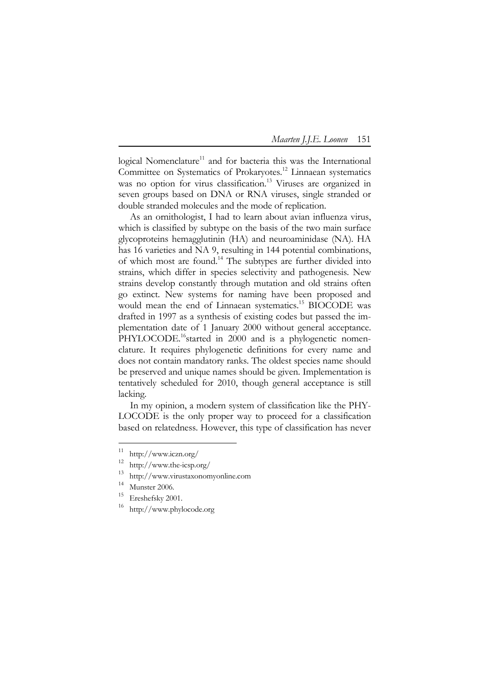logical Nomenclature<sup>11</sup> and for bacteria this was the International Committee on Systematics of Prokaryotes.<sup>12</sup> Linnaean systematics was no option for virus classification.<sup>13</sup> Viruses are organized in seven groups based on DNA or RNA viruses, single stranded or double stranded molecules and the mode of replication.

As an ornithologist, I had to learn about avian influenza virus, which is classified by subtype on the basis of the two main surface glycoproteins hemagglutinin (HA) and neuroaminidase (NA). HA has 16 varieties and NA 9, resulting in 144 potential combinations, of which most are found.<sup>14</sup> The subtypes are further divided into strains, which differ in species selectivity and pathogenesis. New strains develop constantly through mutation and old strains often go extinct. New systems for naming have been proposed and would mean the end of Linnaean systematics.<sup>15</sup> BIOCODE was drafted in 1997 as a synthesis of existing codes but passed the implementation date of 1 January 2000 without general acceptance. PHYLOCODE.<sup>16</sup>started in 2000 and is a phylogenetic nomenclature. It requires phylogenetic definitions for every name and does not contain mandatory ranks. The oldest species name should be preserved and unique names should be given. Implementation is tentatively scheduled for 2010, though general acceptance is still lacking.

In my opinion, a modern system of classification like the PHY-LOCODE is the only proper way to proceed for a classification based on relatedness. However, this type of classification has never

-

<sup>11</sup> http://www.iczn.org/

<sup>12</sup>  $\frac{12}{13}$  http://www.the-icsp.org/

<sup>13</sup> http://www.virustaxonomyonline.com

<sup>14</sup> Munster 2006.

<sup>15</sup> Ereshefsky 2001.

<sup>16</sup> http://www.phylocode.org